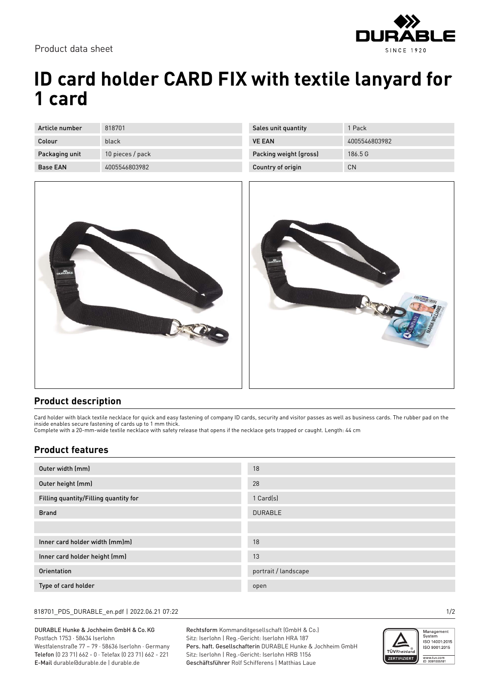

Product data sheet

# **ID card holder CARD FIX with textile lanyard for 1 card**

| Article number  | 818701           |
|-----------------|------------------|
| Colour          | black            |
| Packaging unit  | 10 pieces / pack |
| <b>Base FAN</b> | 4005546803982    |

| Sales unit quantity    | 1 Pack        |
|------------------------|---------------|
| <b>VE FAN</b>          | 4005546803982 |
| Packing weight (gross) | 186.5 G       |
| Country of origin      | CΝ            |





#### **Product description**

Card holder with black textile necklace for quick and easy fastening of company ID cards, security and visitor passes as well as business cards. The rubber pad on the inside enables secure fastening of cards up to 1 mm thick. Complete with a 20-mm-wide textile necklace with safety release that opens if the necklace gets trapped or caught. Length: 44 cm

### **Product features**

| Outer width (mm)                      | 18                   |
|---------------------------------------|----------------------|
| Outer height (mm)                     | 28                   |
| Filling quantity/Filling quantity for | 1 Card(s)            |
| <b>Brand</b>                          | <b>DURABLE</b>       |
|                                       |                      |
| Inner card holder width (mm)m)        | 18                   |
| Inner card holder height (mm)         | 13                   |
| Orientation                           | portrait / landscape |
| Type of card holder                   | open                 |

#### 818701\_PDS\_DURABLE\_en.pdf | 2022.06.21 07:22 1/2

DURABLE Hunke & Jochheim GmbH & Co.KG Postfach 1753 · 58634 Iserlohn Westfalenstraße 77 – 79 · 58636 Iserlohn · Germany Telefon (0 23 71) 662 - 0 · Telefax (0 23 71) 662 - 221 E-Mail durable@durable.de | durable.de

Rechtsform Kommanditgesellschaft (GmbH & Co.) Sitz: Iserlohn | Reg.-Gericht: Iserlohn HRA 187 Pers. haft. Gesellschafterin DURABLE Hunke & Jochheim GmbH Sitz: Iserlohn | Reg.-Gericht: Iserlohn HRB 1156 Geschäftsführer Rolf Schifferens | Matthias Laue